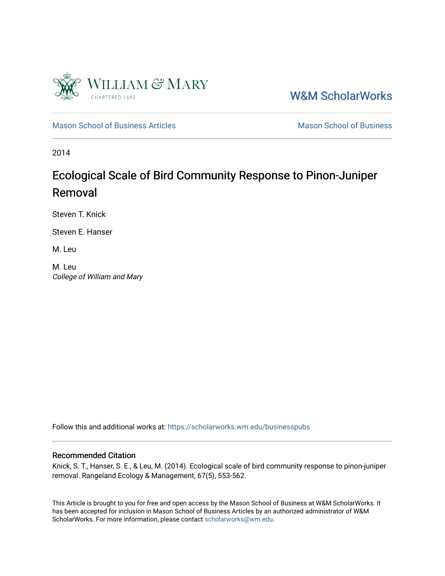

[W&M ScholarWorks](https://scholarworks.wm.edu/) 

[Mason School of Business Articles](https://scholarworks.wm.edu/businesspubs) [Mason School of Business](https://scholarworks.wm.edu/business) Mason School of Business

2014

# Ecological Scale of Bird Community Response to Pinon-Juniper Removal

Steven T. Knick

Steven E. Hanser

M. Leu

M. Leu College of William and Mary

Follow this and additional works at: [https://scholarworks.wm.edu/businesspubs](https://scholarworks.wm.edu/businesspubs?utm_source=scholarworks.wm.edu%2Fbusinesspubs%2F6&utm_medium=PDF&utm_campaign=PDFCoverPages) 

# Recommended Citation

Knick, S. T., Hanser, S. E., & Leu, M. (2014). Ecological scale of bird community response to pinon-juniper removal. Rangeland Ecology & Management, 67(5), 553-562.

This Article is brought to you for free and open access by the Mason School of Business at W&M ScholarWorks. It has been accepted for inclusion in Mason School of Business Articles by an authorized administrator of W&M ScholarWorks. For more information, please contact [scholarworks@wm.edu.](mailto:scholarworks@wm.edu)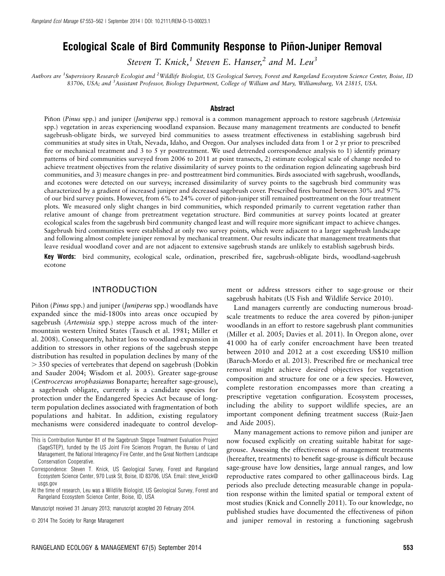# Ecological Scale of Bird Community Response to Piñon-Juniper Removal

Steven T. Knick,<sup>1</sup> Steven E. Hanser,<sup>2</sup> and M. Leu<sup>3</sup>

Authors are <sup>1</sup>Supervisory Research Ecologist and <sup>2</sup>Wildlife Biologist, US Geological Survey, Forest and Rangeland Ecosystem Science Center, Boise, ID 83706, USA; and <sup>3</sup>Assistant Professor, Biology Department, College of William and Mary, Williamsburg, VA 23815, USA.

#### Abstract

Piñon (Pinus spp.) and juniper (Juniperus spp.) removal is a common management approach to restore sagebrush (Artemisia spp.) vegetation in areas experiencing woodland expansion. Because many management treatments are conducted to benefit sagebrush-obligate birds, we surveyed bird communities to assess treatment effectiveness in establishing sagebrush bird communities at study sites in Utah, Nevada, Idaho, and Oregon. Our analyses included data from 1 or 2 yr prior to prescribed fire or mechanical treatment and 3 to 5 yr posttreatment. We used detrended correspondence analysis to 1) identify primary patterns of bird communities surveyed from 2006 to 2011 at point transects, 2) estimate ecological scale of change needed to achieve treatment objectives from the relative dissimilarity of survey points to the ordination region delineating sagebrush bird communities, and 3) measure changes in pre- and posttreatment bird communities. Birds associated with sagebrush, woodlands, and ecotones were detected on our surveys; increased dissimilarity of survey points to the sagebrush bird community was characterized by a gradient of increased juniper and decreased sagebrush cover. Prescribed fires burned between 30% and 97% of our bird survey points. However, from 6% to 24% cover of piñon-juniper still remained posttreatment on the four treatment plots. We measured only slight changes in bird communities, which responded primarily to current vegetation rather than relative amount of change from pretreatment vegetation structure. Bird communities at survey points located at greater ecological scales from the sagebrush bird community changed least and will require more significant impact to achieve changes. Sagebrush bird communities were established at only two survey points, which were adjacent to a larger sagebrush landscape and following almost complete juniper removal by mechanical treatment. Our results indicate that management treatments that leave residual woodland cover and are not adjacent to extensive sagebrush stands are unlikely to establish sagebrush birds.

Key Words: bird community, ecological scale, ordination, prescribed fire, sagebrush-obligate birds, woodland-sagebrush ecotone

#### INTRODUCTION

Piñon (*Pinus* spp.) and juniper (*Juniperus* spp.) woodlands have expanded since the mid-1800s into areas once occupied by sagebrush (*Artemisia* spp.) steppe across much of the intermountain western United States (Tausch et al. 1981; Miller et al. 2008). Consequently, habitat loss to woodland expansion in addition to stressors in other regions of the sagebrush steppe distribution has resulted in population declines by many of the  $>$  350 species of vertebrates that depend on sagebrush (Dobkin and Sauder 2004; Wisdom et al. 2005). Greater sage-grouse (Centrocercus urophasianus Bonaparte; hereafter sage-grouse), a sagebrush obligate, currently is a candidate species for protection under the Endangered Species Act because of longterm population declines associated with fragmentation of both populations and habitat. In addition, existing regulatory mechanisms were considered inadequate to control development or address stressors either to sage-grouse or their sagebrush habitats (US Fish and Wildlife Service 2010).

Land managers currently are conducting numerous broadscale treatments to reduce the area covered by piñon-juniper woodlands in an effort to restore sagebrush plant communities (Miller et al. 2005; Davies et al. 2011). In Oregon alone, over 41 000 ha of early conifer encroachment have been treated between 2010 and 2012 at a cost exceeding US\$10 million (Baruch-Mordo et al. 2013). Prescribed fire or mechanical tree removal might achieve desired objectives for vegetation composition and structure for one or a few species. However, complete restoration encompasses more than creating a prescriptive vegetation configuration. Ecosystem processes, including the ability to support wildlife species, are an important component defining treatment success (Ruiz-Jaen and Aide 2005).

Many management actions to remove piñon and juniper are now focused explicitly on creating suitable habitat for sagegrouse. Assessing the effectiveness of management treatments (hereafter, treatments) to benefit sage-grouse is difficult because sage-grouse have low densities, large annual ranges, and low reproductive rates compared to other gallinaceous birds. Lag periods also preclude detecting measurable change in population response within the limited spatial or temporal extent of most studies (Knick and Connelly 2011). To our knowledge, no published studies have documented the effectiveness of piñon and juniper removal in restoring a functioning sagebrush

This is Contribution Number 81 of the Sagebrush Steppe Treatment Evaluation Project (SageSTEP), funded by the US Joint Fire Sciences Program, the Bureau of Land Management, the National Interagency Fire Center, and the Great Northern Landscape Conservation Cooperative.

Correspondence: Steven T. Knick, US Geological Survey, Forest and Rangeland Ecosystem Science Center, 970 Lusk St, Boise, ID 83706, USA. Email: steve\_knick@ usgs.gov

At the time of research, Leu was a Wildlife Biologist, US Geological Survey, Forest and Rangeland Ecosystem Science Center, Boise, ID, USA

Manuscript received 31 January 2013; manuscript accepted 20 February 2014.

 $\odot$  2014 The Society for Range Management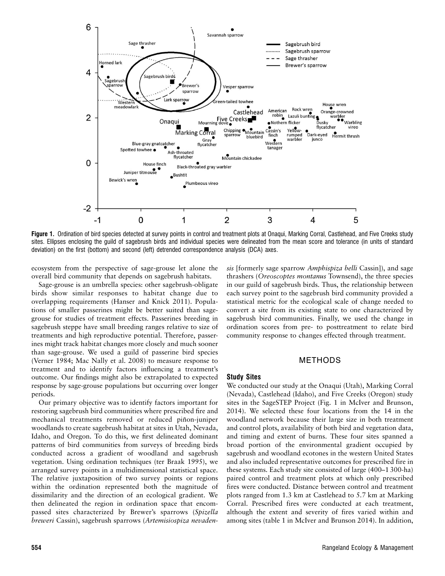

Figure 1. Ordination of bird species detected at survey points in control and treatment plots at Onaqui, Marking Corral, Castlehead, and Five Creeks study sites. Ellipses enclosing the guild of sagebrush birds and individual species were delineated from the mean score and tolerance (in units of standard deviation) on the first (bottom) and second (left) detrended correspondence analysis (DCA) axes.

ecosystem from the perspective of sage-grouse let alone the overall bird community that depends on sagebrush habitats.

Sage-grouse is an umbrella species: other sagebrush-obligate birds show similar responses to habitat change due to overlapping requirements (Hanser and Knick 2011). Populations of smaller passerines might be better suited than sagegrouse for studies of treatment effects. Passerines breeding in sagebrush steppe have small breeding ranges relative to size of treatments and high reproductive potential. Therefore, passerines might track habitat changes more closely and much sooner than sage-grouse. We used a guild of passerine bird species (Verner 1984; Mac Nally et al. 2008) to measure response to treatment and to identify factors influencing a treatment's outcome. Our findings might also be extrapolated to expected response by sage-grouse populations but occurring over longer periods.

Our primary objective was to identify factors important for restoring sagebrush bird communities where prescribed fire and mechanical treatments removed or reduced piñon-juniper woodlands to create sagebrush habitat at sites in Utah, Nevada, Idaho, and Oregon. To do this, we first delineated dominant patterns of bird communities from surveys of breeding birds conducted across a gradient of woodland and sagebrush vegetation. Using ordination techniques (ter Braak 1995), we arranged survey points in a multidimensional statistical space. The relative juxtaposition of two survey points or regions within the ordination represented both the magnitude of dissimilarity and the direction of an ecological gradient. We then delineated the region in ordination space that encompassed sites characterized by Brewer's sparrows (Spizella breweri Cassin), sagebrush sparrows (Artemisiospiza nevadensis [formerly sage sparrow Amphispiza belli Cassin]), and sage thrashers (Oreoscoptes montanus Townsend), the three species in our guild of sagebrush birds. Thus, the relationship between each survey point to the sagebrush bird community provided a statistical metric for the ecological scale of change needed to convert a site from its existing state to one characterized by sagebrush bird communities. Finally, we used the change in ordination scores from pre- to posttreatment to relate bird community response to changes effected through treatment.

#### METHODS

#### Study Sites

We conducted our study at the Onaqui (Utah), Marking Corral (Nevada), Castlehead (Idaho), and Five Creeks (Oregon) study sites in the SageSTEP Project (Fig. 1 in McIver and Brunson, 2014). We selected these four locations from the 14 in the woodland network because their large size in both treatment and control plots, availability of both bird and vegetation data, and timing and extent of burns. These four sites spanned a broad portion of the environmental gradient occupied by sagebrush and woodland ecotones in the western United States and also included representative outcomes for prescribed fire in these systems. Each study site consisted of large (400–1 300-ha) paired control and treatment plots at which only prescribed fires were conducted. Distance between control and treatment plots ranged from 1.3 km at Castlehead to 5.7 km at Marking Corral. Prescribed fires were conducted at each treatment, although the extent and severity of fires varied within and among sites (table 1 in McIver and Brunson 2014). In addition,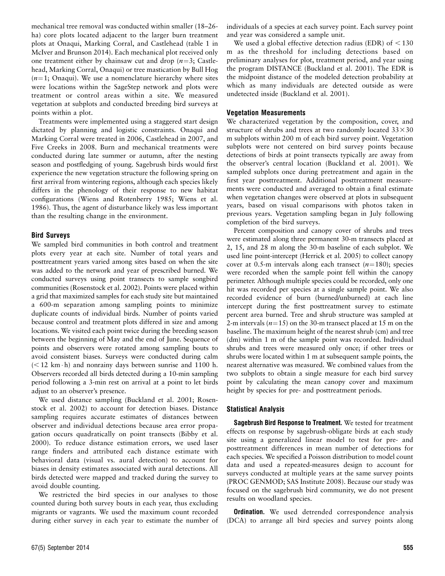mechanical tree removal was conducted within smaller (18–26 ha) core plots located adjacent to the larger burn treatment plots at Onaqui, Marking Corral, and Castlehead (table 1 in McIver and Brunson 2014). Each mechanical plot received only one treatment either by chainsaw cut and drop  $(n=3;$  Castlehead, Marking Corral, Onaqui) or tree mastication by Bull Hog  $(n=1;$  Onaqui). We use a nomenclature hierarchy where sites were locations within the SageStep network and plots were treatment or control areas within a site. We measured vegetation at subplots and conducted breeding bird surveys at points within a plot.

Treatments were implemented using a staggered start design dictated by planning and logistic constraints. Onaqui and Marking Corral were treated in 2006, Castlehead in 2007, and Five Creeks in 2008. Burn and mechanical treatments were conducted during late summer or autumn, after the nesting season and postfledging of young. Sagebrush birds would first experience the new vegetation structure the following spring on first arrival from wintering regions, although each species likely differs in the phenology of their response to new habitat configurations (Wiens and Rotenberry 1985; Wiens et al. 1986). Thus, the agent of disturbance likely was less important than the resulting change in the environment.

#### Bird Surveys

We sampled bird communities in both control and treatment plots every year at each site. Number of total years and posttreatment years varied among sites based on when the site was added to the network and year of prescribed burned. We conducted surveys using point transects to sample songbird communities (Rosenstock et al. 2002). Points were placed within a grid that maximized samples for each study site but maintained a 600-m separation among sampling points to minimize duplicate counts of individual birds. Number of points varied because control and treatment plots differed in size and among locations. We visited each point twice during the breeding season between the beginning of May and the end of June. Sequence of points and observers were rotated among sampling bouts to avoid consistent biases. Surveys were conducted during calm  $(< 12$  km $\cdot$ h) and nonrainy days between sunrise and 1100 h. Observers recorded all birds detected during a 10-min sampling period following a 3-min rest on arrival at a point to let birds adjust to an observer's presence.

We used distance sampling (Buckland et al. 2001; Rosenstock et al. 2002) to account for detection biases. Distance sampling requires accurate estimates of distances between observer and individual detections because area error propagation occurs quadratically on point transects (Bibby et al. 2000). To reduce distance estimation errors, we used laser range finders and attributed each distance estimate with behavioral data (visual vs. aural detection) to account for biases in density estimates associated with aural detections. All birds detected were mapped and tracked during the survey to avoid double counting.

We restricted the bird species in our analyses to those counted during both survey bouts in each year, thus excluding migrants or vagrants. We used the maximum count recorded during either survey in each year to estimate the number of

We used a global effective detection radius (EDR) of  $<$  130 m as the threshold for including detections based on preliminary analyses for plot, treatment period, and year using the program DISTANCE (Buckland et al. 2001). The EDR is the midpoint distance of the modeled detection probability at which as many individuals are detected outside as were undetected inside (Buckland et al. 2001).

# Vegetation Measurements

We characterized vegetation by the composition, cover, and structure of shrubs and trees at two randomly located  $33\times30$ m subplots within 200 m of each bird survey point. Vegetation subplots were not centered on bird survey points because detections of birds at point transects typically are away from the observer's central location (Buckland et al. 2001). We sampled subplots once during pretreatment and again in the first year posttreatment. Additional posttreatment measurements were conducted and averaged to obtain a final estimate when vegetation changes were observed at plots in subsequent years, based on visual comparisons with photos taken in previous years. Vegetation sampling began in July following completion of the bird surveys.

Percent composition and canopy cover of shrubs and trees were estimated along three permanent 30-m transects placed at 2, 15, and 28 m along the 30-m baseline of each subplot. We used line point-intercept (Herrick et al. 2005) to collect canopy cover at 0.5-m intervals along each transect  $(n=180)$ ; species were recorded when the sample point fell within the canopy perimeter. Although multiple species could be recorded, only one hit was recorded per species at a single sample point. We also recorded evidence of burn (burned/unburned) at each line intercept during the first posttreatment survey to estimate percent area burned. Tree and shrub structure was sampled at 2-m intervals ( $n=15$ ) on the 30-m transect placed at 15 m on the baseline. The maximum height of the nearest shrub (cm) and tree (dm) within 1 m of the sample point was recorded. Individual shrubs and trees were measured only once; if other trees or shrubs were located within 1 m at subsequent sample points, the nearest alternative was measured. We combined values from the two subplots to obtain a single measure for each bird survey point by calculating the mean canopy cover and maximum height by species for pre- and posttreatment periods.

# Statistical Analysis

Sagebrush Bird Response to Treatment. We tested for treatment effects on response by sagebrush-obligate birds at each study site using a generalized linear model to test for pre- and posttreatment differences in mean number of detections for each species. We specified a Poisson distribution to model count data and used a repeated-measures design to account for surveys conducted at multiple years at the same survey points (PROC GENMOD; SAS Institute 2008). Because our study was focused on the sagebrush bird community, we do not present results on woodland species.

**Ordination.** We used detrended correspondence analysis (DCA) to arrange all bird species and survey points along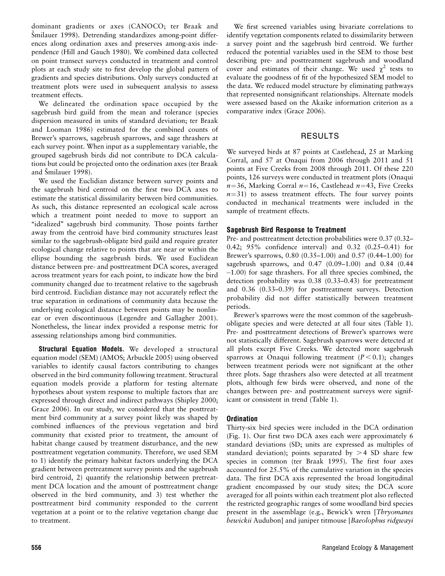dominant gradients or axes (CANOCO; ter Braak and Šmilauer 1998). Detrending standardizes among-point differences along ordination axes and preserves among-axis independence (Hill and Gauch 1980). We combined data collected on point transect surveys conducted in treatment and control plots at each study site to first develop the global pattern of gradients and species distributions. Only surveys conducted at treatment plots were used in subsequent analysis to assess treatment effects.

We delineated the ordination space occupied by the sagebrush bird guild from the mean and tolerance (species dispersion measured in units of standard deviation; ter Braak and Looman 1986) estimated for the combined counts of Brewer's sparrows, sagebrush sparrows, and sage thrashers at each survey point. When input as a supplementary variable, the grouped sagebrush birds did not contribute to DCA calculations but could be projected onto the ordination axes (ter Braak and Smilauer 1998).

We used the Euclidian distance between survey points and the sagebrush bird centroid on the first two DCA axes to estimate the statistical dissimilarity between bird communities. As such, this distance represented an ecological scale across which a treatment point needed to move to support an "idealized" sagebrush bird community. Those points farther away from the centroid have bird community structures least similar to the sagebrush-obligate bird guild and require greater ecological change relative to points that are near or within the ellipse bounding the sagebrush birds. We used Euclidean distance between pre- and posttreatment DCA scores, averaged across treatment years for each point, to indicate how the bird community changed due to treatment relative to the sagebrush bird centroid. Euclidian distance may not accurately reflect the true separation in ordinations of community data because the underlying ecological distance between points may be nonlinear or even discontinuous (Legendre and Gallagher 2001). Nonetheless, the linear index provided a response metric for assessing relationships among bird communities.

Structural Equation Models. We developed a structural equation model (SEM) (AMOS; Arbuckle 2005) using observed variables to identify causal factors contributing to changes observed in the bird community following treatment. Structural equation models provide a platform for testing alternate hypotheses about system response to multiple factors that are expressed through direct and indirect pathways (Shipley 2000; Grace 2006). In our study, we considered that the posttreatment bird community at a survey point likely was shaped by combined influences of the previous vegetation and bird community that existed prior to treatment, the amount of habitat change caused by treatment disturbance, and the new posttreatment vegetation community. Therefore, we used SEM to 1) identify the primary habitat factors underlying the DCA gradient between pretreatment survey points and the sagebrush bird centroid, 2) quantify the relationship between pretreatment DCA location and the amount of posttreatment change observed in the bird community, and 3) test whether the posttreatment bird community responded to the current vegetation at a point or to the relative vegetation change due to treatment.

a survey point and the sagebrush bird centroid. We further reduced the potential variables used in the SEM to those best describing pre- and posttreatment sagebrush and woodland cover and estimates of their change. We used  $\chi^2$  tests to evaluate the goodness of fit of the hypothesized SEM model to the data. We reduced model structure by eliminating pathways that represented nonsignificant relationships. Alternate models were assessed based on the Akaike information criterion as a comparative index (Grace 2006).

# RESULTS

We first screened variables using bivariate correlations to identify vegetation components related to dissimilarity between

We surveyed birds at 87 points at Castlehead, 25 at Marking Corral, and 57 at Onaqui from 2006 through 2011 and 51 points at Five Creeks from 2008 through 2011. Of these 220 points, 126 surveys were conducted in treatment plots (Onaqui  $n=36$ , Marking Corral  $n=16$ , Castlehead  $n=43$ , Five Creeks  $n=31$ ) to assess treatment effects. The four survey points conducted in mechanical treatments were included in the sample of treatment effects.

# Sagebrush Bird Response to Treatment

Pre- and posttreatment detection probabilities were 0.37 (0.32– 0.42; 95% confidence interval) and 0.32 (0.25–0.41) for Brewer's sparrows, 0.80 (0.35–1.00) and 0.57 (0.44–1.00) for sagebrush sparrows, and 0.47 (0.09–1.00) and 0.84 (0.44  $-1.00$ ) for sage thrashers. For all three species combined, the detection probability was 0.38 (0.33–0.43) for pretreatment and 0.36 (0.33–0.39) for posttreatment surveys. Detection probability did not differ statistically between treatment periods.

Brewer's sparrows were the most common of the sagebrushobligate species and were detected at all four sites (Table 1). Pre- and posttreatment detections of Brewer's sparrows were not statistically different. Sagebrush sparrows were detected at all plots except Five Creeks. We detected more sagebrush sparrows at Onaqui following treatment  $(P < 0.1)$ ; changes between treatment periods were not significant at the other three plots. Sage thrashers also were detected at all treatment plots, although few birds were observed, and none of the changes between pre- and posttreatment surveys were significant or consistent in trend (Table 1).

# **Ordination**

Thirty-six bird species were included in the DCA ordination (Fig. 1). Our first two DCA axes each were approximately 6 standard deviations (SD; units are expressed as multiples of standard deviation); points separated by  $>4$  SD share few species in common (ter Braak 1995). The first four axes accounted for 25.5% of the cumulative variation in the species data. The first DCA axis represented the broad longitudinal gradient encompassed by our study sites; the DCA score averaged for all points within each treatment plot also reflected the restricted geographic ranges of some woodland bird species present in the assemblage (e.g., Bewick's wren [Thryomanes bewickii Audubon] and juniper titmouse [Baeolophus ridgwayi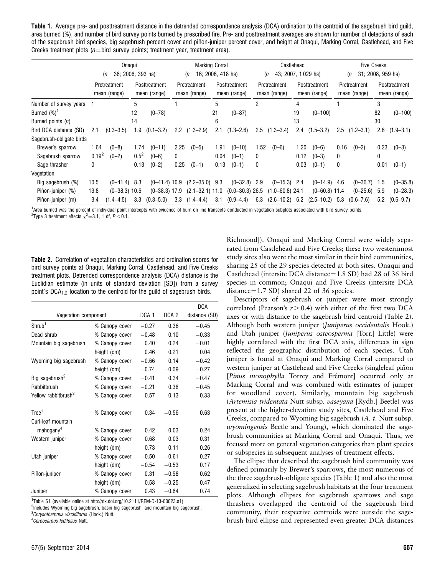Table 1. Average pre- and posttreatment distance in the detrended correspondence analysis (DCA) ordination to the centroid of the sagebrush bird guild, area burned (%), and number of bird survey points burned by prescribed fire. Pre- and posttreatment averages are shown for number of detections of each of the sagebrush bird species, big sagebrush percent cover and piñon-juniper percent cover, and height at Onaqui, Marking Corral, Castlehead, and Five Creeks treatment plots ( $n=$ bird survey points; treatment year, treatment area).

|                          | Onaqui<br>$(n=36; 2006, 393$ ha) |                              |         | <b>Marking Corral</b><br>$(n = 16; 2006, 418$ ha) |               |                              |      | Castlehead<br>$(n = 43; 2007, 1029$ ha) |      |                              | <b>Five Creeks</b><br>$(n=31; 2008, 959$ ha) |                               |      |                              |      |                               |
|--------------------------|----------------------------------|------------------------------|---------|---------------------------------------------------|---------------|------------------------------|------|-----------------------------------------|------|------------------------------|----------------------------------------------|-------------------------------|------|------------------------------|------|-------------------------------|
|                          |                                  | Pretreatment<br>mean (range) |         | Posttreatment<br>mean (range)                     |               | Pretreatment<br>mean (range) |      | Posttreatment<br>mean (range)           |      | Pretreatment<br>mean (range) |                                              | Posttreatment<br>mean (range) |      | Pretreatment<br>mean (range) |      | Posttreatment<br>mean (range) |
| Number of survey years   |                                  |                              | 5       |                                                   |               |                              | 5    |                                         | 2    |                              | 4                                            |                               |      |                              | 3    |                               |
| Burned $(\%)^1$          |                                  |                              | 12      | $(0 - 78)$                                        |               |                              | 21   | $(0 - 87)$                              |      |                              | 19                                           | $(0 - 100)$                   |      |                              | 82   | $(0 - 100)$                   |
| Burned points (n)        |                                  |                              | 14      |                                                   |               |                              | 6    |                                         |      |                              | 13                                           |                               |      |                              | 30   |                               |
| Bird DCA distance (SD)   | 2.1                              | $(0.3 - 3.5)$                | 1.9     | $(0.1 - 3.2)$                                     | $2.2^{\circ}$ | $(1.3 - 2.9)$                | 2.1  | $(1.3 - 2.6)$                           | 2.5  | $(1.3 - 3.4)$                | 2.4                                          | $(1.5 - 3.2)$                 | 2.5  | $(1.2 - 3.1)$                | 2.6  | $(1.9 - 3.1)$                 |
| Sagebrush-obligate birds |                                  |                              |         |                                                   |               |                              |      |                                         |      |                              |                                              |                               |      |                              |      |                               |
| Brewer's sparrow         | 1.64                             | $(0-8)$                      | 1.74    | $(0 - 11)$                                        | 2.25          | $(0-5)$                      | 1.91 | $(0 - 10)$                              | 1.52 | $(0-6)$                      | 1.20                                         | $(0-6)$                       | 0.16 | $(0-2)$                      | 0.23 | $(0-3)$                       |
| Sagebrush sparrow        | $0.19^2$                         | $(0-2)$                      | $0.5^2$ | $(0-6)$                                           | 0             |                              | 0.04 | $(0-1)$                                 | 0    |                              | 0.12                                         | $(0-3)$                       | 0    |                              | 0    |                               |
| Sage thrasher            | 0                                |                              | 0.13    | $(0-2)$                                           | 0.25          | $(0-1)$                      | 0.13 | $(0-1)$                                 | 0    |                              | 0.03                                         | $(0-1)$                       | 0    |                              | 0.01 | $(0-1)$                       |
| Vegetation               |                                  |                              |         |                                                   |               |                              |      |                                         |      |                              |                                              |                               |      |                              |      |                               |
| Big sagebrush (%)        | 10.5                             | $(0-41.4)$ 8.3               |         | $(0-41.4)$ 10.9                                   |               | $(2.2 - 35.0)$ 9.3           |      | $(0 - 32.8)$                            | 2.9  | $(0 - 15.3)$                 | 2.4                                          | $(0-14.9)$                    | -4.6 | $(0 - 36.7)$                 | 1.5  | $(0 - 35.8)$                  |
| Piñon-juniper (%)        | 13.8                             | $(0-38.3)$ 10.6              |         | $(0-38.3)$ 17.9                                   |               | $(2.1 - 32.1)$ 11.0          |      | $(0.0 - 30.3)$ 26.5                     |      | $(1.0 - 60.8)$ 24.1          |                                              | $(0 - 60.8)$ 11.4             |      | $(0 - 25.6)$                 | 5.9  | $(0 - 28.3)$                  |
| Piñon-juniper (m)        | 3.4                              | $(1.4 - 4.5)$                | 3.3     | $(0.3 - 5.0)$                                     | 3.3           | $(1.4 - 4.4)$                | 3.1  | $(0.9 - 4.4)$                           | 6.3  | $(2.6 - 10.2)$               | 6.2                                          | $(2.5 - 10.2)$                | 5.3  | $(0.6 - 7.6)$                | 5.2  | $(0.6 - 9.7)$                 |

<sup>1</sup>Area burned was the percent of individual point intercepts with evidence of burn on line transects conducted in vegetation subplots associated with bird survey points. <sup>2</sup>Type 3 treatment effects  $\chi^2$  = 3.1, 1 df, P < 0.1.

Table 2. Correlation of vegetation characteristics and ordination scores for bird survey points at Onaqui, Marking Corral, Castlehead, and Five Creeks treatment plots. Detrended correspondence analysis (DCA) distance is the Euclidian estimate (in units of standard deviation [SD]) from a survey point's  $DCA_{1,2}$  location to the centroid for the guild of sagebrush birds.

|                                 |                |                  |         | <b>DCA</b>    |  |
|---------------------------------|----------------|------------------|---------|---------------|--|
| Vegetation component            |                | DCA <sub>1</sub> | DCA 2   | distance (SD) |  |
| Shrub <sup>1</sup>              | % Canopy cover | $-0.27$          | 0.36    | $-0.45$       |  |
| Dead shrub                      | % Canopy cover | $-0.48$          | 0.10    | $-0.33$       |  |
| Mountain big sagebrush          | % Canopy cover | 0.40             | 0.24    | $-0.01$       |  |
|                                 | height (cm)    | 0.46             | 0.21    | 0.04          |  |
| Wyoming big sagebrush           | % Canopy cover | $-0.66$          | 0.14    | $-0.42$       |  |
|                                 | height (cm)    | $-0.74$          | $-0.09$ | $-0.27$       |  |
| Big sagebrush <sup>2</sup>      | % Canopy cover | $-0.41$          | 0.34    | $-0.47$       |  |
| Rabbitbrush                     | % Canopy cover | $-0.21$          | 0.38    | $-0.45$       |  |
| Yellow rabbitbrush <sup>3</sup> | % Canopy cover | $-0.57$          | 0.13    | $-0.33$       |  |
| Tree <sup>1</sup>               | % Canopy cover | 0.34             | $-0.56$ | 0.63          |  |
| Curl-leaf mountain              |                |                  |         |               |  |
| mahogany <sup>4</sup>           | % Canopy cover | 0.42             | $-0.03$ | 0.24          |  |
| Western juniper                 | % Canopy cover | 0.68             | 0.03    | 0.31          |  |
|                                 | height (dm)    | 0.73             | 0.11    | 0.26          |  |
| Utah juniper                    | % Canopy cover | $-0.50$          | $-0.61$ | 0.27          |  |
|                                 | height (dm)    | $-0.54$          | $-0.53$ | 0.17          |  |
| Piñon-juniper                   | % Canopy cover | 0.31             | $-0.58$ | 0.62          |  |
|                                 | height (dm)    | 0.58             | $-0.25$ | 0.47          |  |
| Juniper                         | % Canopy cover | 0.43             | $-0.64$ | 0.74          |  |

<sup>1</sup>Table S1 (available online at http://dx.doi.org/10.2111/REM-D-13-00023.s1).

<sup>2</sup>Includes Wyoming big sagebrush, basin big sagebrush, and mountain big sagebrush.

<sup>3</sup>Chrysothamnus viscidiforus (Hook.) Nutt.

<sup>4</sup> Cercocarpus ledifolius Nutt.

Richmond]). Onaqui and Marking Corral were widely separated from Castlehead and Five Creeks; these two westernmost study sites also were the most similar in their bird communities, sharing 25 of the 29 species detected at both sites. Onaqui and Castlehead (intersite DCA distance= $1.8$  SD) had 28 of 36 bird species in common; Onaqui and Five Creeks (intersite DCA distance= $1.7$  SD) shared 22 of 36 species.

Descriptors of sagebrush or juniper were most strongly correlated (Pearson's  $r > 0.4$ ) with either of the first two DCA axes or with distance to the sagebrush bird centroid (Table 2). Although both western juniper (Juniperus occidentalis Hook.) and Utah juniper (*Juniperus osteosperma* [Torr.] Little) were highly correlated with the first DCA axis, differences in sign reflected the geographic distribution of each species. Utah juniper is found at Onaqui and Marking Corral compared to western juniper at Castlehead and Five Creeks (singleleaf piñon [Pinus monophylla Torrey and Frémont] occurred only at Marking Corral and was combined with estimates of juniper for woodland cover). Similarly, mountain big sagebrush (Artemisia tridentata Nutt subsp. vaseyana [Rydb.] Beetle) was present at the higher-elevation study sites, Castlehead and Five Creeks, compared to Wyoming big sagebrush (A. t. Nutt subsp. wyomingensis Beetle and Young), which dominated the sagebrush communities at Marking Corral and Onaqui. Thus, we focused more on general vegetation categories than plant species or subspecies in subsequent analyses of treatment effects.

The ellipse that described the sagebrush bird community was defined primarily by Brewer's sparrows, the most numerous of the three sagebrush-obligate species (Table 1) and also the most generalized in selecting sagebrush habitats at the four treatment plots. Although ellipses for sagebrush sparrows and sage thrashers overlapped the centroid of the sagebrush bird community, their respective centroids were outside the sagebrush bird ellipse and represented even greater DCA distances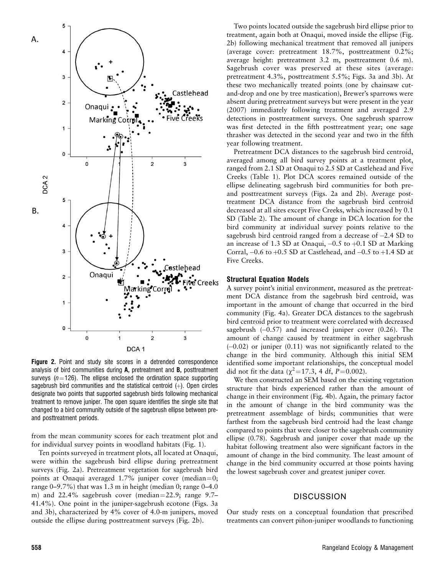

Figure 2. Point and study site scores in a detrended correspondence analysis of bird communities during A, pretreatment and B, posttreatment surveys ( $n=126$ ). The ellipse enclosed the ordination space supporting sagebrush bird communities and the statistical centroid  $(+)$ . Open circles designate two points that supported sagebrush birds following mechanical treatment to remove juniper. The open square identifies the single site that changed to a bird community outside of the sagebrush ellipse between preand posttreatment periods.

from the mean community scores for each treatment plot and for individual survey points in woodland habitats (Fig. 1).

Ten points surveyed in treatment plots, all located at Onaqui, were within the sagebrush bird ellipse during pretreatment surveys (Fig. 2a). Pretreatment vegetation for sagebrush bird points at Onaqui averaged  $1.7\%$  juniper cover (median=0; range  $0-9.7\%$ ) that was 1.3 m in height (median 0; range  $0-4.0$ m) and  $22.4\%$  sagebrush cover (median= $22.9$ ; range  $9.7-$ 41.4%). One point in the juniper-sagebrush ecotone (Figs. 3a and 3b), characterized by 4% cover of 4.0-m junipers, moved outside the ellipse during posttreatment surveys (Fig. 2b).

Two points located outside the sagebrush bird ellipse prior to treatment, again both at Onaqui, moved inside the ellipse (Fig. 2b) following mechanical treatment that removed all junipers (average cover: pretreatment 18.7%, posttreatment 0.2%; average height: pretreatment 3.2 m, posttreatment 0.6 m). Sagebrush cover was preserved at these sites (average: pretreatment 4.3%, posttreatment 5.5%; Figs. 3a and 3b). At these two mechanically treated points (one by chainsaw cutand-drop and one by tree mastication), Brewer's sparrows were absent during pretreatment surveys but were present in the year (2007) immediately following treatment and averaged 2.9 detections in posttreatment surveys. One sagebrush sparrow was first detected in the fifth posttreatment year; one sage thrasher was detected in the second year and two in the fifth year following treatment.

Pretreatment DCA distances to the sagebrush bird centroid, averaged among all bird survey points at a treatment plot, ranged from 2.1 SD at Onaqui to 2.5 SD at Castlehead and Five Creeks (Table 1). Plot DCA scores remained outside of the ellipse delineating sagebrush bird communities for both preand posttreatment surveys (Figs. 2a and 2b). Average posttreatment DCA distance from the sagebrush bird centroid decreased at all sites except Five Creeks, which increased by 0.1 SD (Table 2). The amount of change in DCA location for the bird community at individual survey points relative to the sagebrush bird centroid ranged from a decrease of  $-2.4$  SD to an increase of 1.3 SD at Onaqui,  $-0.5$  to  $+0.1$  SD at Marking Corral,  $-0.6$  to  $+0.5$  SD at Castlehead, and  $-0.5$  to  $+1.4$  SD at Five Creeks.

#### Structural Equation Models

A survey point's initial environment, measured as the pretreatment DCA distance from the sagebrush bird centroid, was important in the amount of change that occurred in the bird community (Fig. 4a). Greater DCA distances to the sagebrush bird centroid prior to treatment were correlated with decreased sagebrush  $(-0.57)$  and increased juniper cover  $(0.26)$ . The amount of change caused by treatment in either sagebrush  $(-0.02)$  or juniper  $(0.11)$  was not significantly related to the change in the bird community. Although this initial SEM identified some important relationships, the conceptual model did not fit the data ( $\chi^2$ =17.3, 4 df, P=0.002).

We then constructed an SEM based on the existing vegetation structure that birds experienced rather than the amount of change in their environment (Fig. 4b). Again, the primary factor in the amount of change in the bird community was the pretreatment assemblage of birds; communities that were farthest from the sagebrush bird centroid had the least change compared to points that were closer to the sagebrush community ellipse (0.78). Sagebrush and juniper cover that made up the habitat following treatment also were significant factors in the amount of change in the bird community. The least amount of change in the bird community occurred at those points having the lowest sagebrush cover and greatest juniper cover.

# **DISCUSSION**

Our study rests on a conceptual foundation that prescribed treatments can convert piñon-juniper woodlands to functioning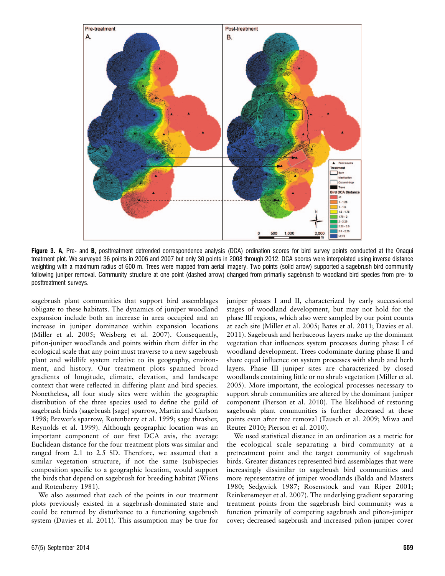

Figure 3. A, Pre- and B, posttreatment detrended correspondence analysis (DCA) ordination scores for bird survey points conducted at the Onaqui treatment plot. We surveyed 36 points in 2006 and 2007 but only 30 points in 2008 through 2012. DCA scores were interpolated using inverse distance weighting with a maximum radius of 600 m. Trees were mapped from aerial imagery. Two points (solid arrow) supported a sagebrush bird community following juniper removal. Community structure at one point (dashed arrow) changed from primarily sagebrush to woodland bird species from pre- to posttreatment surveys.

sagebrush plant communities that support bird assemblages obligate to these habitats. The dynamics of juniper woodland expansion include both an increase in area occupied and an increase in juniper dominance within expansion locations (Miller et al. 2005; Weisberg et al. 2007). Consequently, piñon-juniper woodlands and points within them differ in the ecological scale that any point must traverse to a new sagebrush plant and wildlife system relative to its geography, environment, and history. Our treatment plots spanned broad gradients of longitude, climate, elevation, and landscape context that were reflected in differing plant and bird species. Nonetheless, all four study sites were within the geographic distribution of the three species used to define the guild of sagebrush birds (sagebrush [sage] sparrow, Martin and Carlson 1998; Brewer's sparrow, Rotenberry et al. 1999; sage thrasher, Reynolds et al. 1999). Although geographic location was an important component of our first DCA axis, the average Euclidean distance for the four treatment plots was similar and ranged from 2.1 to 2.5 SD. Therefore, we assumed that a similar vegetation structure, if not the same (sub)species composition specific to a geographic location, would support the birds that depend on sagebrush for breeding habitat (Wiens and Rotenberry 1981).

We also assumed that each of the points in our treatment plots previously existed in a sagebrush-dominated state and could be returned by disturbance to a functioning sagebrush system (Davies et al. 2011). This assumption may be true for

juniper phases I and II, characterized by early successional stages of woodland development, but may not hold for the phase III regions, which also were sampled by our point counts at each site (Miller et al. 2005; Bates et al. 2011; Davies et al. 2011). Sagebrush and herbaceous layers make up the dominant vegetation that influences system processes during phase I of woodland development. Trees codominate during phase II and share equal influence on system processes with shrub and herb layers. Phase III juniper sites are characterized by closed woodlands containing little or no shrub vegetation (Miller et al. 2005). More important, the ecological processes necessary to support shrub communities are altered by the dominant juniper component (Pierson et al. 2010). The likelihood of restoring sagebrush plant communities is further decreased at these points even after tree removal (Tausch et al. 2009; Miwa and Reuter 2010; Pierson et al. 2010).

We used statistical distance in an ordination as a metric for the ecological scale separating a bird community at a pretreatment point and the target community of sagebrush birds. Greater distances represented bird assemblages that were increasingly dissimilar to sagebrush bird communities and more representative of juniper woodlands (Balda and Masters 1980; Sedgwick 1987; Rosenstock and van Riper 2001; Reinkensmeyer et al. 2007). The underlying gradient separating treatment points from the sagebrush bird community was a function primarily of competing sagebrush and piñon-juniper cover; decreased sagebrush and increased piñon-juniper cover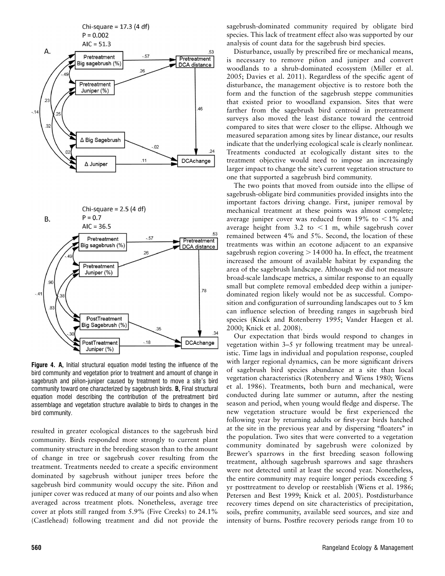

Figure 4. A, Initial structural equation model testing the influence of the bird community and vegetation prior to treatment and amount of change in sagebrush and piñon-juniper caused by treatment to move a site's bird community toward one characterized by sagebrush birds. B, Final structural equation model describing the contribution of the pretreatment bird assemblage and vegetation structure available to birds to changes in the bird community.

resulted in greater ecological distances to the sagebrush bird community. Birds responded more strongly to current plant community structure in the breeding season than to the amount of change in tree or sagebrush cover resulting from the treatment. Treatments needed to create a specific environment dominated by sagebrush without juniper trees before the sagebrush bird community would occupy the site. Piñon and juniper cover was reduced at many of our points and also when averaged across treatment plots. Nonetheless, average tree cover at plots still ranged from 5.9% (Five Creeks) to 24.1% (Castlehead) following treatment and did not provide the

sagebrush-dominated community required by obligate bird species. This lack of treatment effect also was supported by our analysis of count data for the sagebrush bird species.

Disturbance, usually by prescribed fire or mechanical means, is necessary to remove piñon and juniper and convert woodlands to a shrub-dominated ecosystem (Miller et al. 2005; Davies et al. 2011). Regardless of the specific agent of disturbance, the management objective is to restore both the form and the function of the sagebrush steppe communities that existed prior to woodland expansion. Sites that were farther from the sagebrush bird centroid in pretreatment surveys also moved the least distance toward the centroid compared to sites that were closer to the ellipse. Although we measured separation among sites by linear distance, our results indicate that the underlying ecological scale is clearly nonlinear. Treatments conducted at ecologically distant sites to the treatment objective would need to impose an increasingly larger impact to change the site's current vegetation structure to one that supported a sagebrush bird community.

The two points that moved from outside into the ellipse of sagebrush-obligate bird communities provided insights into the important factors driving change. First, juniper removal by mechanical treatment at these points was almost complete; average juniper cover was reduced from  $19\%$  to  $\lt 1\%$  and average height from  $3.2$  to  $\leq 1$  m, while sagebrush cover remained between 4% and 5%. Second, the location of these treatments was within an ecotone adjacent to an expansive sagebrush region covering  $> 14000$  ha. In effect, the treatment increased the amount of available habitat by expanding the area of the sagebrush landscape. Although we did not measure broad-scale landscape metrics, a similar response to an equally small but complete removal embedded deep within a juniperdominated region likely would not be as successful. Composition and configuration of surrounding landscapes out to 5 km can influence selection of breeding ranges in sagebrush bird species (Knick and Rotenberry 1995; Vander Haegen et al. 2000; Knick et al. 2008).

Our expectation that birds would respond to changes in vegetation within 3–5 yr following treatment may be unrealistic. Time lags in individual and population response, coupled with larger regional dynamics, can be more significant drivers of sagebrush bird species abundance at a site than local vegetation characteristics (Rotenberry and Wiens 1980; Wiens et al. 1986). Treatments, both burn and mechanical, were conducted during late summer or autumn, after the nesting season and period, when young would fledge and disperse. The new vegetation structure would be first experienced the following year by returning adults or first-year birds hatched at the site in the previous year and by dispersing ''floaters'' in the population. Two sites that were converted to a vegetation community dominated by sagebrush were colonized by Brewer's sparrows in the first breeding season following treatment, although sagebrush sparrows and sage thrashers were not detected until at least the second year. Nonetheless, the entire community may require longer periods exceeding 5 yr posttreatment to develop or reestablish (Wiens et al. 1986; Petersen and Best 1999; Knick et al. 2005). Postdisturbance recovery times depend on site characteristics of precipitation, soils, prefire community, available seed sources, and size and intensity of burns. Postfire recovery periods range from 10 to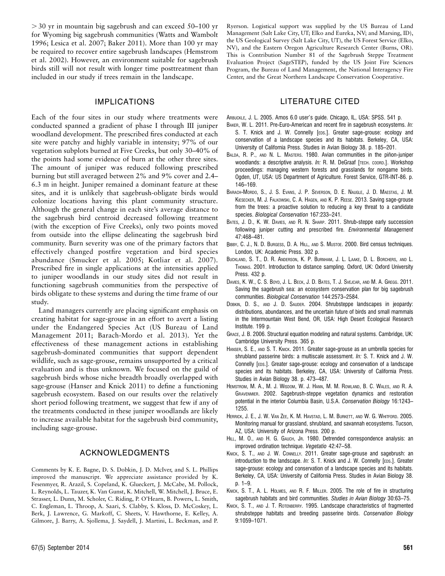$> 30$  yr in mountain big sagebrush and can exceed 50–100 yr for Wyoming big sagebrush communities (Watts and Wambolt 1996; Lesica et al. 2007; Baker 2011). More than 100 yr may be required to recover entire sagebrush landscapes (Hemstrom et al. 2002). However, an environment suitable for sagebrush birds still will not result with longer time posttreatment than included in our study if trees remain in the landscape.

#### IMPLICATIONS

Each of the four sites in our study where treatments were conducted spanned a gradient of phase I through III juniper woodland development. The prescribed fires conducted at each site were patchy and highly variable in intensity; 97% of our vegetation subplots burned at Five Creeks, but only 30–40% of the points had some evidence of burn at the other three sites. The amount of juniper was reduced following prescribed burning but still averaged between 2% and 9% cover and 2.4– 6.3 m in height. Juniper remained a dominant feature at these sites, and it is unlikely that sagebrush-obligate birds would colonize locations having this plant community structure. Although the general change in each site's average distance to the sagebrush bird centroid decreased following treatment (with the exception of Five Creeks), only two points moved from outside into the ellipse delineating the sagebrush bird community. Burn severity was one of the primary factors that effectively changed postfire vegetation and bird species abundance (Smucker et al. 2005; Kotliar et al. 2007). Prescribed fire in single applications at the intensities applied to juniper woodlands in our study sites did not result in functioning sagebrush communities from the perspective of birds obligate to these systems and during the time frame of our study.

Land managers currently are placing significant emphasis on creating habitat for sage-grouse in an effort to avert a listing under the Endangered Species Act (US Bureau of Land Management 2011; Barach-Mordo et al. 2013). Yet the effectiveness of these management actions in establishing sagebrush-dominated communities that support dependent wildlife, such as sage-grouse, remains unsupported by a critical evaluation and is thus unknown. We focused on the guild of sagebrush birds whose niche breadth broadly overlapped with sage-grouse (Hanser and Knick 2011) to define a functioning sagebrush ecosystem. Based on our results over the relatively short period following treatment, we suggest that few if any of the treatments conducted in these juniper woodlands are likely to increase available habitat for the sagebrush bird community, including sage-grouse.

#### ACKNOWLEDGMENTS

Comments by K. E. Bagne, D. S. Dobkin, J. D. McIver, and S. L. Phillips improved the manuscript. We appreciate assistance provided by K. Fesenmyer, R. Arazil, S. Copeland, K. Glueckert, J. McCabe, M. Pollock, L. Reynolds, L. Tauzer, K. Van Gunst, K. Mitchell, W. Mitchell, J. Bruce, E. Strasser, L. Dunn, M. Scholer, C. Riding, P. O'Hearn, B. Powers, L. Smith, C. Engleman, L. Throop, A. Saari, S. Clabby, S. Kloss, D. McCoskey, L. Berk, J. Lawrence, G. Markoff, C. Sheets, V. Hawthorne, E. Kelley, A. Gilmore, J. Barry, A. Sjollema, J. Saydell, J. Martini, L. Beckman, and P.

Ryerson. Logistical support was supplied by the US Bureau of Land Management (Salt Lake City, UT; Elko and Eureka, NV; and Marsing, ID), the US Geological Survey (Salt Lake City, UT), the US Forest Service (Elko, NV), and the Eastern Oregon Agriculture Research Center (Burns, OR). This is Contribution Number 81 of the Sagebrush Steppe Treatment Evaluation Project (SageSTEP), funded by the US Joint Fire Sciences Program, the Bureau of Land Management, the National Interagency Fire Center, and the Great Northern Landscape Conservation Cooperative.

#### LITERATURE CITED

- ARBUCKLE, J. L. 2005. Amos 6.0 user's guide. Chicago, IL, USA: SPSS. 541 p.
- BAKER, W. L. 2011. Pre-Euro-American and recent fire in sagebrush ecosystems. In: S. T. Knick and J. W. Connelly [EDS.]. Greater sage-grouse: ecology and conservation of a landscape species and its habitats. Berkeley, CA, USA: University of California Press. Studies in Avian Biology 38. p. 185–201.
- BALDA, R. P., AND N. L. MASTERS. 1980. Avian communities in the piñon-juniper woodlands: a descriptive analysis. In: R. M. DeGraaf [TECH. COORD.]. Workshop proceedings: managing western forests and grasslands for nongame birds. Ogden, UT, USA: US Department of Agriculture. Forest Service, GTR-INT-86. p. 146–169.
- BARACH-MORDO, S., J. S. EVANS, J. P. SEVERSON, D. E. NAUGLE, J. D. MAESTAS, J. M. KIESECKER, M. J. FALKOWSKI, C. A. HAGEN, AND K. P. REESE. 2013. Saving sage-grouse from the trees: a proactive solution to reducing a key threat to a candidate species. Biological Conservation 167:233–241.
- BATES, J. D., K. W. DAVIES, AND R. N. SHARP. 2011. Shrub-steppe early succession following juniper cutting and prescribed fire. *Environmental Management* 47:468–481.
- BIBBY, C. J., N. D. BURGESS, D. A. HILL, AND S. MUSTOE. 2000. Bird census techniques. London, UK: Academic Press. 302 p.
- BUCKLAND, S. T., D. R. ANDERSON, K. P. BURNHAM, J. L. LAAKE, D. L. BORCHERS, AND L. THOMAS. 2001. Introduction to distance sampling. Oxford, UK: Oxford University Press. 432 p.
- DAVIES, K. W., C. S. BOYD, J. L. BECK, J. D. BATES, T. J. SVEJCAR, AND M. A. GREGG. 2011. Saving the sagebrush sea: an ecosystem conservation plan for big sagebrush communities. Biological Conservation 144:2573–2584.
- DOBKIN, D. S., AND J. D. SAUDER. 2004. Shrubsteppe landscapes in jeopardy: distributions, abundances, and the uncertain future of birds and small mammals in the Intermountain West Bend, OR, USA: High Desert Ecological Research Institute. 199 p.
- GRACE, J. B. 2006. Structural equation modeling and natural systems. Cambridge, UK: Cambridge University Press. 365 p.
- HANSER, S. E., AND S. T. KNICK. 2011. Greater sage-grouse as an umbrella species for shrubland passerine birds: a multiscale assessment. In: S. T. Knick and J. W. Connelly [EDS.]. Greater sage-grouse: ecology and conservation of a landscape species and its habitats. Berkeley, CA, USA: University of California Press. Studies in Avian Biology 38. p. 473–487.
- HEMSTROM, M. A., M. J. WISDOM, W. J. HANN, M. M. ROWLAND, B. C. WALES, AND R. A. GRAVENMIER. 2002. Sagebrush-steppe vegetation dynamics and restoration potential in the interior Columbia Basin, U.S.A. Conservation Biology 16:1243– 1255.
- HERRICK, J. E., J. W. VAN ZEE, K. M. HAVSTAD, L. M. BURKETT, AND W. G. WHITFORD. 2005. Monitoring manual for grassland, shrubland, and savannah ecosystems. Tucson, AZ, USA: University of Arizona Press. 200 p.
- HILL, M. O., AND H. G. GAUCH, JR. 1980. Detrended correspondence analysis: an improved ordination technique. Vegetatio 42:47–58.
- KNICK, S. T., AND J. W. CONNELLY. 2011. Greater sage-grouse and sagebrush: an introduction to the landscape. In: S. T. Knick and J. W. Connelly [ $EDS$ ]. Greater sage-grouse: ecology and conservation of a landscape species and its habitats. Berkeley, CA, USA: University of California Press. Studies in Avian Biology 38. p. 1–9.
- KNICK, S. T., A. L. HOLMES, AND R. F. MILLER. 2005. The role of fire in structuring sagebrush habitats and bird communities. Studies in Avian Biology 30:63–75.
- KNICK, S. T., AND J. T. ROTENBERRY. 1995. Landscape characteristics of fragmented shrubsteppe habitats and breeding passerine birds. Conservation Biology 9:1059–1071.